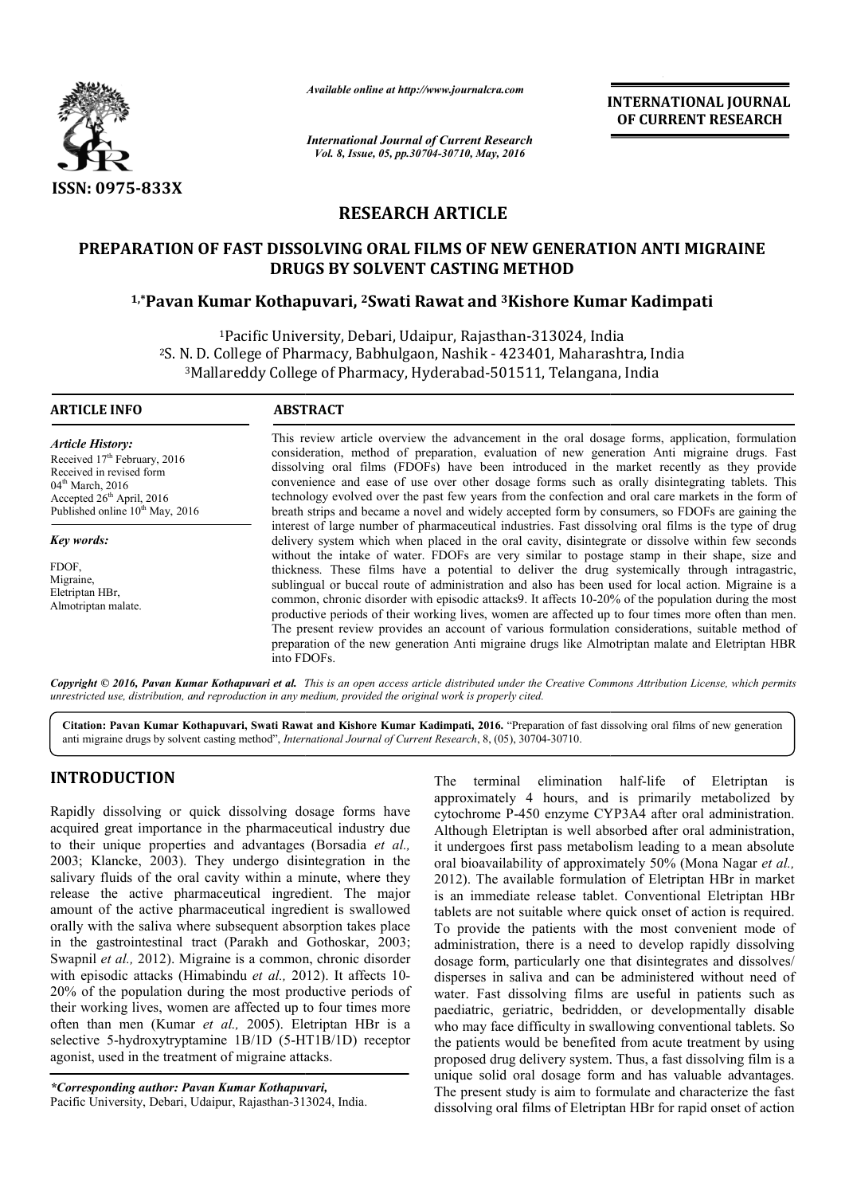

*Available online at http://www.journalcra.com*

*International Journal of Current Research Vol. 8, Issue, 05, pp.30704-30710, May, 2016*

**INTERNATIONAL JOURNAL OF CURRENT RESEARCH** 

# **RESEARCH ARTICLE**

# **PREPARATION OF FAST DISSOLVING ORAL FILMS OF NEW GENERATION ANTI MIGRAINE PREPARATION OF DRUGS BY SOLVENT CASTING METHOD**

# **1,\*Pavan Kumar Kothapuvari Pavan Kothapuvari, 2Swati Rawat and 3Kishore Kumar Kadimpati Kishore Kumar**

<sup>1</sup>Pacific University, Debari, Udaipur, Rajasthan-313024, India <sup>2</sup>S. N. D. College of Pharmacy, Babhulgaon, Nashik - 423401, Maharashtra, India <sup>1</sup>Pacific University, Debari, Udaipur, Rajasthan-313024, India<br>I. D. College of Pharmacy, Babhulgaon, Nashik - 423401, Maharashtra, India<br>3Mallareddy College of Pharmacy, Hyderabad-501511, Telangana, India

 $\overline{a}$ 

#### **ARTICLE INFO ABSTRACT**

*Article History:* Received 17<sup>th</sup> February, 2016 Received in revised form 04<sup>th</sup> March, 2016 Accepted 26<sup>th</sup> April, 2016 Published online  $10^{th}$  May, 2016

*Key words:*

FDOF, Migraine, Eletriptan HBr, Almotriptan malate.

This review article overview the advancement in the oral dosage forms, application, formulation consideration, method of preparation, evaluation of new generation Anti migraine drugs. Fast This review article overview the advancement in the oral dosage forms, application, formulation consideration, method of preparation, evaluation of new generation Anti migraine drugs. Fast dissolving oral films (FDOFs) hav convenience and ease of use over other dosage forms such as orally disintegrating tablets. This technology evolved over the past few years from the confection and oral care markets in the form of breath strips and became a novel and widely accepted form by consumers, so FDOFs are gaining the interest of large number of pharmaceutical industries. Fast dissolving oral films is the type of drug delivery system which when placed in the oral cavity, disintegrate or dissolve within few seconds without the intake of water. FDOFs are very similar to postage stamp in their shape, size and thickness. These films have a potential to deliver the drug systemically through intragastric, sublingual or buccal route of administration and also has been used for local action. common, chronic disorder with episodic attacks9. It affects 10 10-20% of the population during the most productive periods of their working lives, women are affected up to four times more often than men. The present review provides an account of various formulation considerations, suitable method of preparation of the new generation Anti migraine drugs like Almotriptan malate and Eletriptan HBR into FDOFs. convenience and ease of use over other dosage forms such as orally disintegrating tablets. This technology evolved over the past few years from the confection and oral care markets in the form of breath strips and became a without the intake of water. FDOFs are very similar to postage stamp in their shape, size and thickness. These films have a potential to deliver the drug systemically through intragastric, sublingual or buccal route of adm common, chronic disorder with episodic attacks9. It affects 10-20% of the population durin<br>productive periods of their working lives, women are affected up to four times more often<br>The present review provides an account of

Copyright © 2016, Pavan Kumar Kothapuvari et al. This is an open access article distributed under the Creative Commons Attribution License, which permits *unrestricted use, distribution, and reproduction in any medium, provided the original work is properly cited.*

Citation: Pavan Kumar Kothapuvari, Swati Rawat and Kishore Kumar Kadimpati, 2016. "Preparation of fast dissolving oral films of new generation anti migraine drugs by solvent casting method", *International Journal of Current Research* , 8, (05), 30704-30710.

# **INTRODUCTION**

Rapidly dissolving or quick dissolving dosage forms have acquired great importance in the pharmaceutical industry due to their unique properties and advantages (Borsadia *et al.,* 2003; Klancke, 2003). They undergo disintegration in the salivary fluids of the oral cavity within a minute, where they release the active pharmaceutical ingredient. The major amount of the active pharmaceutical ingredient is swallowed orally with the saliva where subsequent absorption takes place orally with the saliva where subsequent absorption takes place<br>in the gastrointestinal tract (Parakh and Gothoskar, 2003; Swapnil *et al.,* 2012). Migraine is a common, chronic disorder with episodic attacks (Himabindu et al., 2012). It affects 10-20% of the population during the most productive periods of their working lives, women are affected up to four times more often than men (Kumar *et al.,* 2005). Eletriptan HBr is a selective 5-hydroxytryptamine 1B/1D (5-HT1B/1D) receptor agonist, used in the treatment of migraine attacks. . Eletriptan H.<br>(5-HT1B/1D) 1<br>e attacks.<br>hapuvari,<br>an-313024, India.

*\*Corresponding author: Pavan Kumar Kothapuvari,* Pacific University, Debari, Udaipur, Rajasthan-313024, India

The terminal elimination half-life of Eletriptan is approximately 4 hours, and is primarily metabolized by approximately 4 hours, and is primarily metabolized by cytochrome P-450 enzyme CYP3A4 after oral administration. Although Eletriptan is well absorbed after oral administration, it undergoes first pass metabolism leading to a mean absolute oral bioavailability of approximately 50% (Mona Nagar *et al.*, 2012). The available formulation of Eletriptan HBr in market is an immediate release tablet. Conventional Eletriptan HBr tablets are not suitable where quick onset of action is required. To provide the patients with the most convenient mode of administration, there is a need to develop rapidly dissolving dosage form, particularly one that disintegrates and dissolves/ disperses in saliva and can be administered without need of water. Fast dissolving films are useful in patients such as paediatric, geriatric, bedridden, or developmentally disable who may face difficulty in swallowing conventional tablets. So the patients would be benefited from acute treatment by using proposed drug delivery system. Thus, a fast dissolving film is a unique solid oral dosage form and has valuable advantages. The present study is aim to formulate and characterize the fast dissolving oral films of Eletriptan HBr for rapid onset of action Ithough Eletriptan is well absorbed after oral administration, undergoes first pass metabolism leading to a mean absolute al bioavailability of approximately 50% (Mona Nagar *et al.*, release tablet. Conventional Eletriptan HBr<br>table where quick onset of action is required.<br>aatients with the most convenient mode of<br>ere is a need to develop rapidly dissolving **EXERCT AT THE SYSTEM AT TONAL SOFT AND THE SYSTEM CORRENT RESEARCH 2016**<br> **SYSTEM GENERATION ANTI MIGRAINE**<br> **NETHOD**<br> **EXERCT AT THE SYSTEM CONDITION ANTIFICIPAL AT ALCTED AT AND ATTENT AND ATTENT AT A 423401, Maharasht**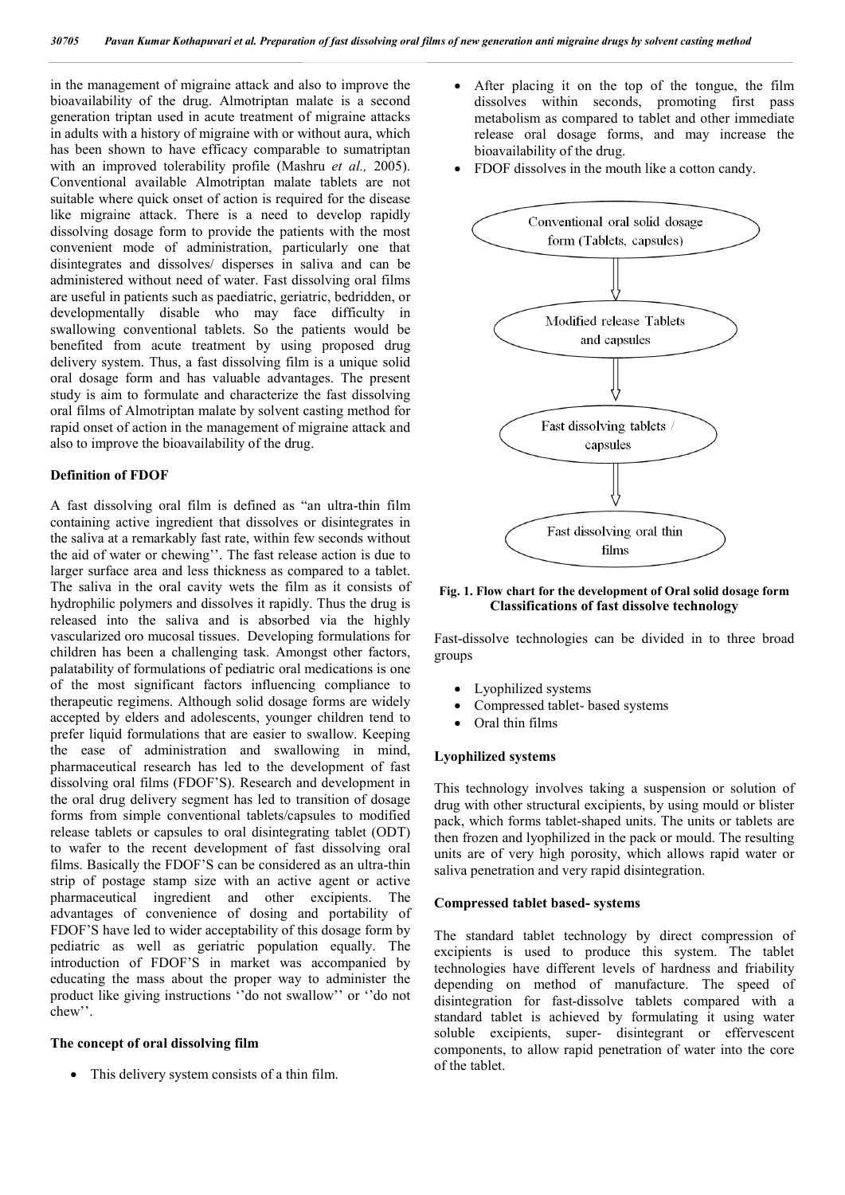in the management of migraine attack and also to improve the bioavailability of the drug. Almotriptan malate is a second generation triptan used in acute treatment of migraine attacks in adults with a history of migraine with or without aura, which has been shown to have efficacy comparable to sumatriptan with an improved tolerability profile (Mashru *et al.,* 2005). Conventional available Almotriptan malate tablets are not suitable where quick onset of action is required for the disease like migraine attack. There is a need to develop rapidly dissolving dosage form to provide the patients with the most convenient mode of administration, particularly one that disintegrates and dissolves/ disperses in saliva and can be administered without need of water. Fast dissolving oral films are useful in patients such as paediatric, geriatric, bedridden, or developmentally disable who may face difficulty in swallowing conventional tablets. So the patients would be benefited from acute treatment by using proposed drug delivery system. Thus, a fast dissolving film is a unique solid oral dosage form and has valuable advantages. The present study is aim to formulate and characterize the fast dissolving oral films of Almotriptan malate by solvent casting method for rapid onset of action in the management of migraine attack and also to improve the bioavailability of the drug.

# **Definition of FDOF**

A fast dissolving oral film is defined as "an ultra-thin film containing active ingredient that dissolves or disintegrates in the saliva at a remarkably fast rate, within few seconds without the aid of water or chewing''. The fast release action is due to larger surface area and less thickness as compared to a tablet. The saliva in the oral cavity wets the film as it consists of hydrophilic polymers and dissolves it rapidly. Thus the drug is released into the saliva and is absorbed via the highly vascularized oro mucosal tissues. Developing formulations for children has been a challenging task. Amongst other factors, palatability of formulations of pediatric oral medications is one of the most significant factors influencing compliance to therapeutic regimens. Although solid dosage forms are widely accepted by elders and adolescents, younger children tend to prefer liquid formulations that are easier to swallow. Keeping the ease of administration and swallowing in mind, pharmaceutical research has led to the development of fast dissolving oral films (FDOF'S). Research and development in the oral drug delivery segment has led to transition of dosage forms from simple conventional tablets/capsules to modified release tablets or capsules to oral disintegrating tablet (ODT) to wafer to the recent development of fast dissolving oral films. Basically the FDOF'S can be considered as an ultra-thin strip of postage stamp size with an active agent or active pharmaceutical ingredient and other excipients. The advantages of convenience of dosing and portability of FDOF'S have led to wider acceptability of this dosage form by pediatric as well as geriatric population equally. The introduction of FDOF'S in market was accompanied by educating the mass about the proper way to administer the product like giving instructions ''do not swallow'' or ''do not chew''.

## **The concept of oral dissolving film**

• This delivery system consists of a thin film.

- After placing it on the top of the tongue, the film dissolves within seconds, promoting first pass metabolism as compared to tablet and other immediate release oral dosage forms, and may increase the bioavailability of the drug.
- FDOF dissolves in the mouth like a cotton candy.



### **Fig. 1. Flow chart for the development of Oral solid dosage form Classifications of fast dissolve technology**

Fast-dissolve technologies can be divided in to three broad groups

- Lyophilized systems
- Compressed tablet- based systems
- Oral thin films

### **Lyophilized systems**

This technology involves taking a suspension or solution of drug with other structural excipients, by using mould or blister pack, which forms tablet-shaped units. The units or tablets are then frozen and lyophilized in the pack or mould. The resulting units are of very high porosity, which allows rapid water or saliva penetration and very rapid disintegration.

#### **Compressed tablet based- systems**

The standard tablet technology by direct compression of excipients is used to produce this system. The tablet technologies have different levels of hardness and friability depending on method of manufacture. The speed of disintegration for fast-dissolve tablets compared with a standard tablet is achieved by formulating it using water soluble excipients, super- disintegrant or effervescent components, to allow rapid penetration of water into the core of the tablet.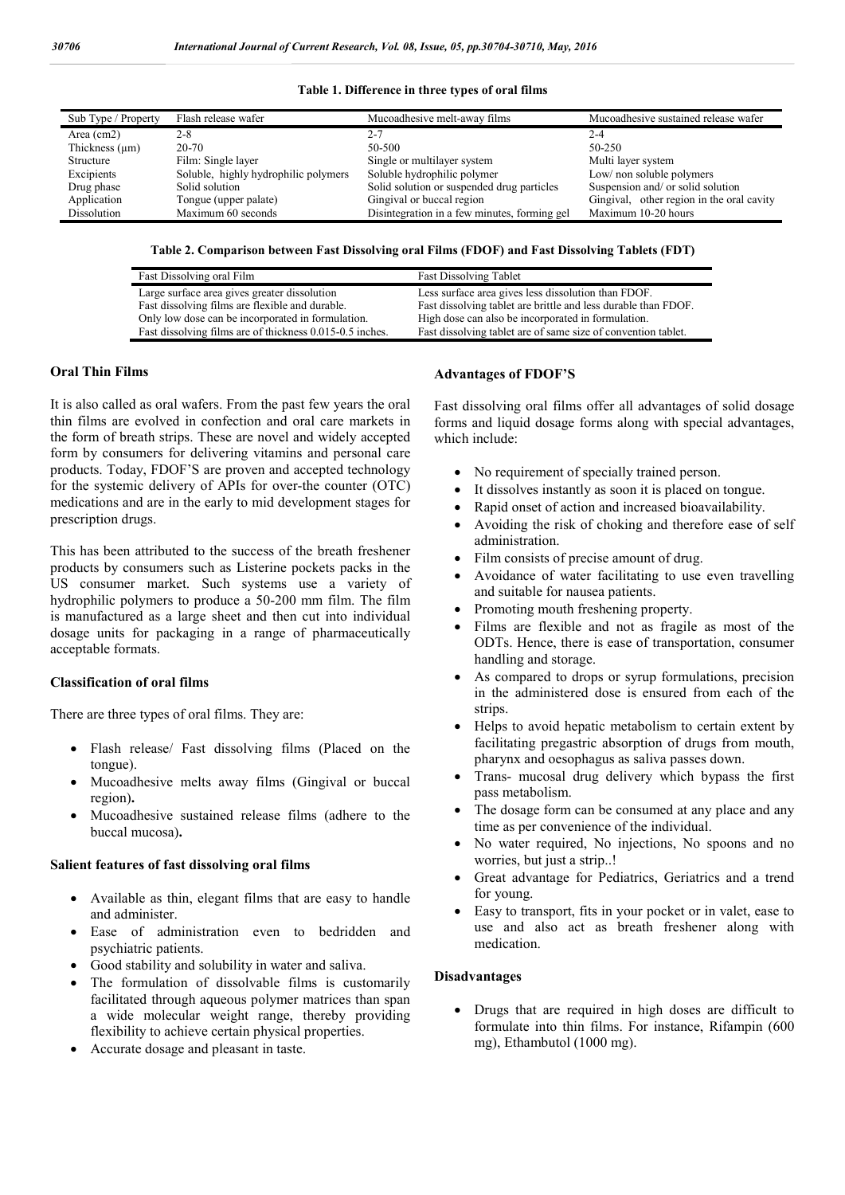| Sub Type / Property | Flash release wafer                  | Mucoadhesive melt-away films                 | Mucoadhesive sustained release wafer      |
|---------------------|--------------------------------------|----------------------------------------------|-------------------------------------------|
| Area $(cm2)$        | 2-8                                  | 2-7                                          | $2 - 4$                                   |
| Thickness $(\mu m)$ | $20-70$                              | 50-500                                       | 50-250                                    |
| Structure           | Film: Single layer                   | Single or multilayer system                  | Multi layer system                        |
| Excipients          | Soluble, highly hydrophilic polymers | Soluble hydrophilic polymer                  | Low/ non soluble polymers                 |
| Drug phase          | Solid solution                       | Solid solution or suspended drug particles   | Suspension and/ or solid solution         |
| Application         | Tongue (upper palate)                | Gingival or buccal region                    | Gingival, other region in the oral cavity |
| Dissolution         | Maximum 60 seconds                   | Disintegration in a few minutes, forming gel | Maximum 10-20 hours                       |
|                     |                                      |                                              |                                           |

#### **Table 1. Difference in three types of oral films**

### **Table 2. Comparison between Fast Dissolving oral Films (FDOF) and Fast Dissolving Tablets (FDT)**

| Fast Dissolving oral Film                                | <b>Fast Dissolving Tablet</b>                                  |
|----------------------------------------------------------|----------------------------------------------------------------|
| Large surface area gives greater dissolution             | Less surface area gives less dissolution than FDOF.            |
| Fast dissolving films are flexible and durable.          | Fast dissolving tablet are brittle and less durable than FDOF. |
| Only low dose can be incorporated in formulation.        | High dose can also be incorporated in formulation.             |
| Fast dissolving films are of thickness 0.015-0.5 inches. | Fast dissolving tablet are of same size of convention tablet.  |

# **Oral Thin Films**

It is also called as oral wafers. From the past few years the oral thin films are evolved in confection and oral care markets in the form of breath strips. These are novel and widely accepted form by consumers for delivering vitamins and personal care products. Today, FDOF'S are proven and accepted technology for the systemic delivery of APIs for over-the counter (OTC) medications and are in the early to mid development stages for prescription drugs.

This has been attributed to the success of the breath freshener products by consumers such as Listerine pockets packs in the US consumer market. Such systems use a variety of hydrophilic polymers to produce a 50-200 mm film. The film is manufactured as a large sheet and then cut into individual dosage units for packaging in a range of pharmaceutically acceptable formats.

# **Classification of oral films**

There are three types of oral films. They are:

- Flash release/ Fast dissolving films (Placed on the tongue).
- Mucoadhesive melts away films (Gingival or buccal region)**.**
- Mucoadhesive sustained release films (adhere to the buccal mucosa)**.**

#### **Salient features of fast dissolving oral films**

- Available as thin, elegant films that are easy to handle and administer.
- Ease of administration even to bedridden and psychiatric patients.
- Good stability and solubility in water and saliva.
- The formulation of dissolvable films is customarily facilitated through aqueous polymer matrices than span a wide molecular weight range, thereby providing flexibility to achieve certain physical properties.
- Accurate dosage and pleasant in taste.

#### **Advantages of FDOF'S**

Fast dissolving oral films offer all advantages of solid dosage forms and liquid dosage forms along with special advantages, which include:

- No requirement of specially trained person.
- It dissolves instantly as soon it is placed on tongue.
- Rapid onset of action and increased bioavailability.
- Avoiding the risk of choking and therefore ease of self administration.
- Film consists of precise amount of drug.
- Avoidance of water facilitating to use even travelling and suitable for nausea patients.
- Promoting mouth freshening property.
- Films are flexible and not as fragile as most of the ODTs. Hence, there is ease of transportation, consumer handling and storage.
- As compared to drops or syrup formulations, precision in the administered dose is ensured from each of the strips.
- Helps to avoid hepatic metabolism to certain extent by facilitating pregastric absorption of drugs from mouth, pharynx and oesophagus as saliva passes down.
- Trans- mucosal drug delivery which bypass the first pass metabolism.
- The dosage form can be consumed at any place and any time as per convenience of the individual.
- No water required, No injections, No spoons and no worries, but just a strip..!
- Great advantage for Pediatrics, Geriatrics and a trend for young.
- Easy to transport, fits in your pocket or in valet, ease to use and also act as breath freshener along with medication.

# **Disadvantages**

 Drugs that are required in high doses are difficult to formulate into thin films. For instance, Rifampin (600 mg), Ethambutol (1000 mg).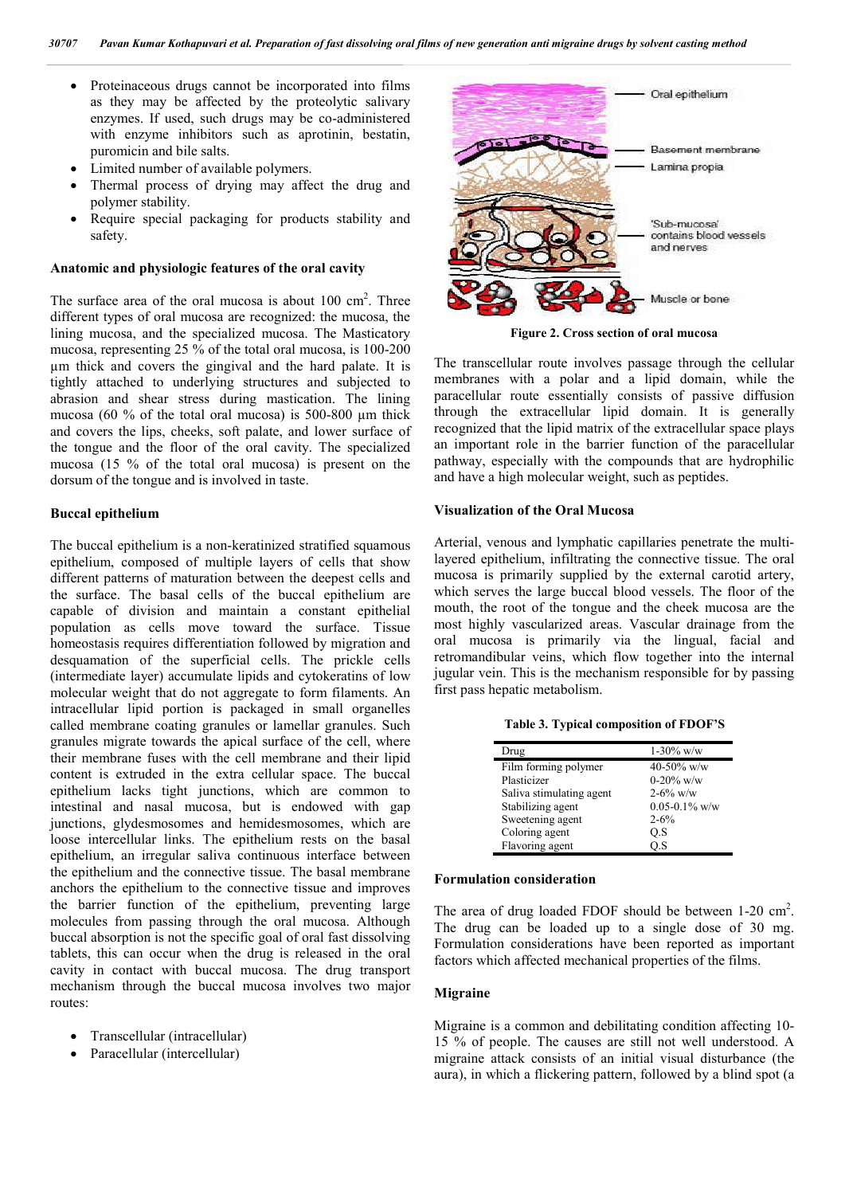- Proteinaceous drugs cannot be incorporated into films as they may be affected by the proteolytic salivary enzymes. If used, such drugs may be co-administered with enzyme inhibitors such as aprotinin, bestatin, puromicin and bile salts.
- Limited number of available polymers.
- Thermal process of drying may affect the drug and polymer stability.
- Require special packaging for products stability and safety.

# **Anatomic and physiologic features of the oral cavity**

The surface area of the oral mucosa is about  $100 \text{ cm}^2$ . Three different types of oral mucosa are recognized: the mucosa, the lining mucosa, and the specialized mucosa. The Masticatory mucosa, representing 25 % of the total oral mucosa, is 100-200 µm thick and covers the gingival and the hard palate. It is tightly attached to underlying structures and subjected to abrasion and shear stress during mastication. The lining mucosa (60  $\%$  of the total oral mucosa) is 500-800 um thick and covers the lips, cheeks, soft palate, and lower surface of the tongue and the floor of the oral cavity. The specialized mucosa (15 % of the total oral mucosa) is present on the dorsum of the tongue and is involved in taste.

#### **Buccal epithelium**

The buccal epithelium is a non-keratinized stratified squamous epithelium, composed of multiple layers of cells that show different patterns of maturation between the deepest cells and the surface. The basal cells of the buccal epithelium are capable of division and maintain a constant epithelial population as cells move toward the surface. Tissue homeostasis requires differentiation followed by migration and desquamation of the superficial cells. The prickle cells (intermediate layer) accumulate lipids and cytokeratins of low molecular weight that do not aggregate to form filaments. An intracellular lipid portion is packaged in small organelles called membrane coating granules or lamellar granules. Such granules migrate towards the apical surface of the cell, where their membrane fuses with the cell membrane and their lipid content is extruded in the extra cellular space. The buccal epithelium lacks tight junctions, which are common to intestinal and nasal mucosa, but is endowed with gap junctions, glydesmosomes and hemidesmosomes, which are loose intercellular links. The epithelium rests on the basal epithelium, an irregular saliva continuous interface between the epithelium and the connective tissue. The basal membrane anchors the epithelium to the connective tissue and improves the barrier function of the epithelium, preventing large molecules from passing through the oral mucosa. Although buccal absorption is not the specific goal of oral fast dissolving tablets, this can occur when the drug is released in the oral cavity in contact with buccal mucosa. The drug transport mechanism through the buccal mucosa involves two major routes:

- Transcellular (intracellular)
- Paracellular (intercellular)



**Figure 2. Cross section of oral mucosa**

The transcellular route involves passage through the cellular membranes with a polar and a lipid domain, while the paracellular route essentially consists of passive diffusion through the extracellular lipid domain. It is generally recognized that the lipid matrix of the extracellular space plays an important role in the barrier function of the paracellular pathway, especially with the compounds that are hydrophilic and have a high molecular weight, such as peptides.

# **Visualization of the Oral Mucosa**

Arterial, venous and lymphatic capillaries penetrate the multilayered epithelium, infiltrating the connective tissue. The oral mucosa is primarily supplied by the external carotid artery, which serves the large buccal blood vessels. The floor of the mouth, the root of the tongue and the cheek mucosa are the most highly vascularized areas. Vascular drainage from the oral mucosa is primarily via the lingual, facial and retromandibular veins, which flow together into the internal jugular vein. This is the mechanism responsible for by passing first pass hepatic metabolism.

**Table 3. Typical composition of FDOF'S**

| Drug                     | $1-30\%$ w/w       |
|--------------------------|--------------------|
| Film forming polymer     | 40-50% w/w         |
| Plasticizer              | $0-20\%$ w/w       |
| Saliva stimulating agent | $2 - 6\%$ w/w      |
| Stabilizing agent        | $0.05 - 0.1\%$ w/w |
| Sweetening agent         | $2 - 6\%$          |
| Coloring agent           | O.S                |
| Flavoring agent          | O.S                |

### **Formulation consideration**

The area of drug loaded FDOF should be between 1-20 cm<sup>2</sup>. The drug can be loaded up to a single dose of 30 mg. Formulation considerations have been reported as important factors which affected mechanical properties of the films.

# **Migraine**

Migraine is a common and debilitating condition affecting 10- 15 % of people. The causes are still not well understood. A migraine attack consists of an initial visual disturbance (the aura), in which a flickering pattern, followed by a blind spot (a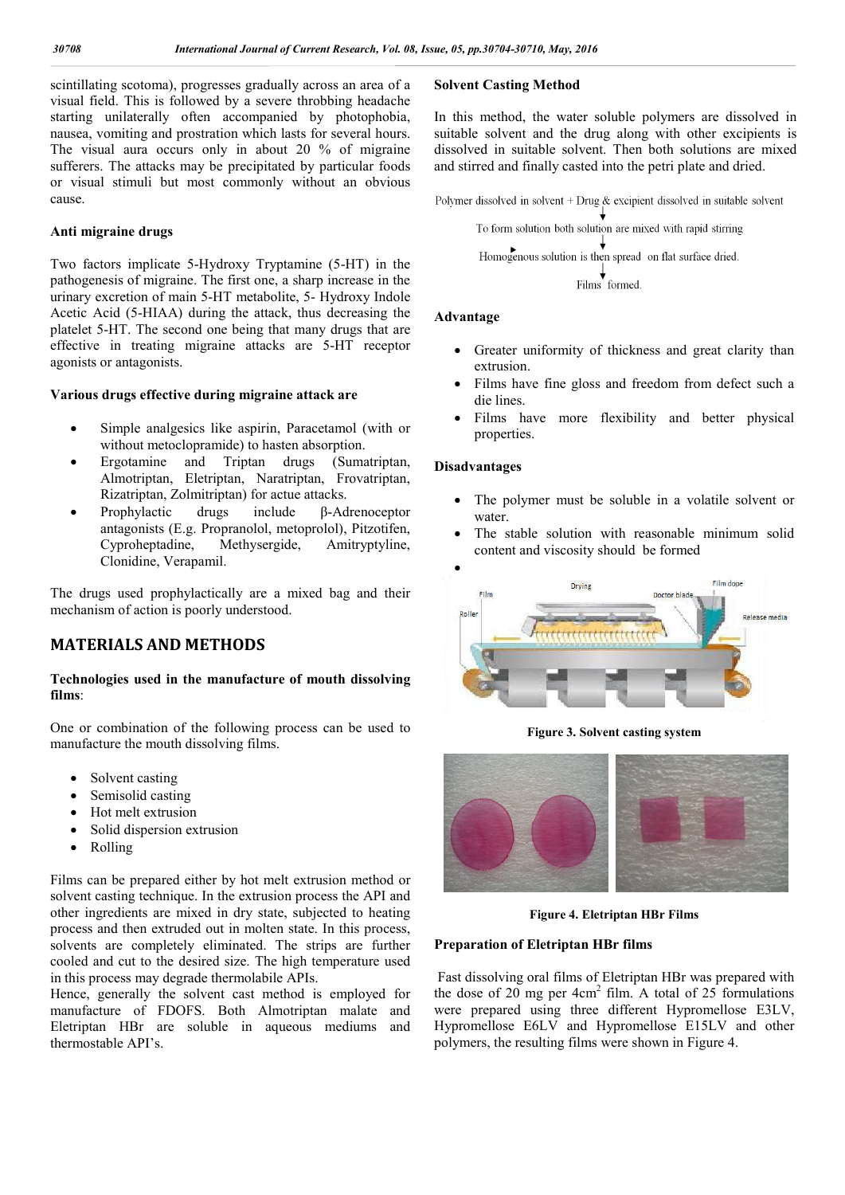scintillating scotoma), progresses gradually across an area of a visual field. This is followed by a severe throbbing headache starting unilaterally often accompanied by photophobia, nausea, vomiting and prostration which lasts for several hours. The visual aura occurs only in about 20 % of migraine sufferers. The attacks may be precipitated by particular foods or visual stimuli but most commonly without an obvious cause.

# **Anti migraine drugs**

Two factors implicate 5-Hydroxy Tryptamine (5-HT) in the pathogenesis of migraine. The first one, a sharp increase in the urinary excretion of main 5-HT metabolite, 5- Hydroxy Indole Acetic Acid (5-HIAA) during the attack, thus decreasing the platelet 5-HT. The second one being that many drugs that are effective in treating migraine attacks are 5-HT receptor agonists or antagonists.

# **Various drugs effective during migraine attack are**

- Simple analgesics like aspirin, Paracetamol (with or without metoclopramide) to hasten absorption.
- Ergotamine and Triptan drugs (Sumatriptan, Almotriptan, Eletriptan, Naratriptan, Frovatriptan, Rizatriptan, Zolmitriptan) for actue attacks.
- Prophylactic drugs include β-Adrenoceptor antagonists (E.g. Propranolol, metoprolol), Pitzotifen, Cyproheptadine, Methysergide, Amitryptyline, Clonidine, Verapamil.

The drugs used prophylactically are a mixed bag and their mechanism of action is poorly understood.

# **MATERIALS AND METHODS**

# **Technologies used in the manufacture of mouth dissolving films**:

One or combination of the following process can be used to manufacture the mouth dissolving films.

- Solvent casting
- Semisolid casting
- Hot melt extrusion
- Solid dispersion extrusion
- Rolling

Films can be prepared either by hot melt extrusion method or solvent casting technique. In the extrusion process the API and other ingredients are mixed in dry state, subjected to heating process and then extruded out in molten state. In this process, solvents are completely eliminated. The strips are further cooled and cut to the desired size. The high temperature used in this process may degrade thermolabile APIs.

Hence, generally the solvent cast method is employed for manufacture of FDOFS. Both Almotriptan malate and Eletriptan HBr are soluble in aqueous mediums and thermostable API's.

# **Solvent Casting Method**

In this method, the water soluble polymers are dissolved in suitable solvent and the drug along with other excipients is dissolved in suitable solvent. Then both solutions are mixed and stirred and finally casted into the petri plate and dried.

Polymer dissolved in solvent + Drug & excipient dissolved in suitable solvent

To form solution both solution are mixed with rapid stirring Homogenous solution is then spread on flat surface dried. Films' formed.

#### **Advantage**

- Greater uniformity of thickness and great clarity than extrusion.
- Films have fine gloss and freedom from defect such a die lines.
- Films have more flexibility and better physical properties.

## **Disadvantages**

- The polymer must be soluble in a volatile solvent or water.
- The stable solution with reasonable minimum solid content and viscosity should be formed



**Figure 3. Solvent casting system**



**Figure 4. Eletriptan HBr Films**

# **Preparation of Eletriptan HBr films**

Fast dissolving oral films of Eletriptan HBr was prepared with the dose of 20 mg per  $4cm<sup>2</sup>$  film. A total of 25 formulations were prepared using three different Hypromellose E3LV, Hypromellose E6LV and Hypromellose E15LV and other polymers, the resulting films were shown in Figure 4.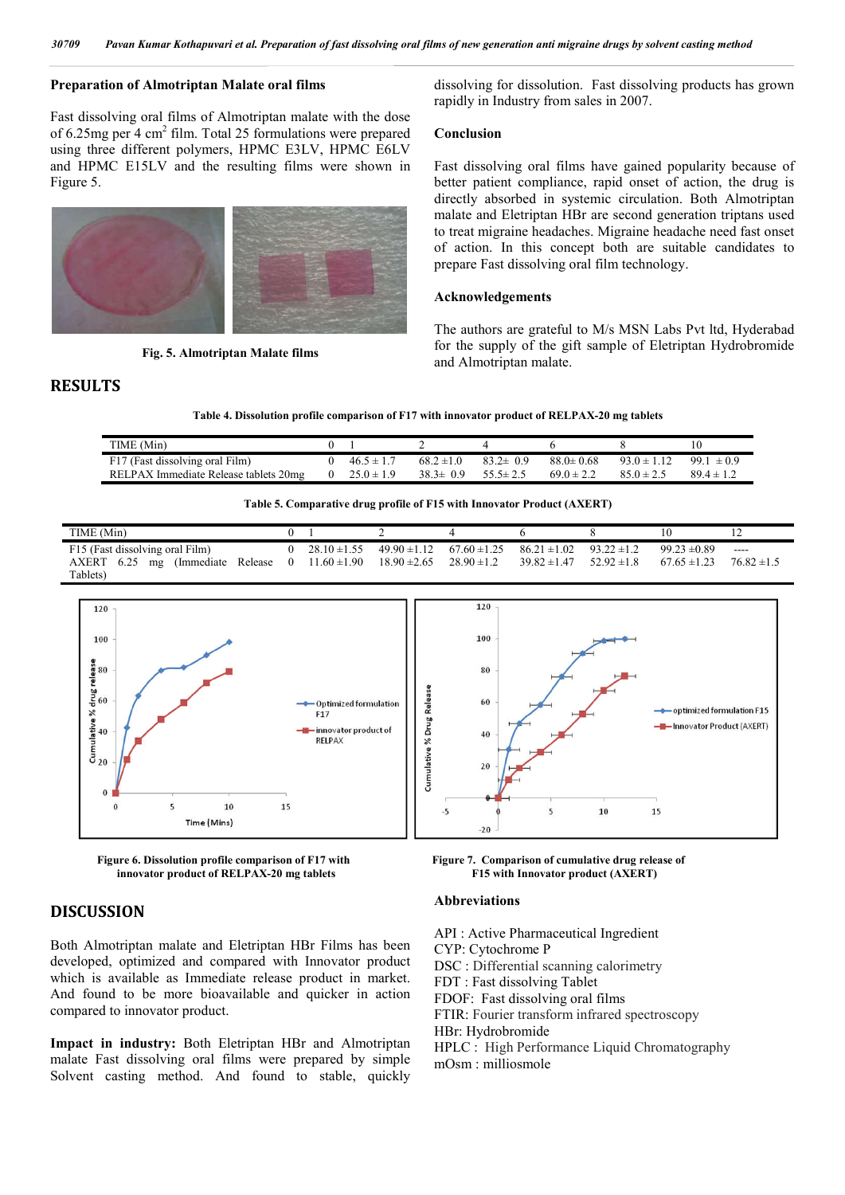# **Preparation of Almotriptan Malate oral films**

Fast dissolving oral films of Almotriptan malate with the dose of 6.25mg per 4 cm2 film. Total 25 formulations were prepared using three different polymers, HPMC E3LV, HPMC E6LV and HPMC E15LV and the resulting films were shown in Figure 5.



**Fig. 5. Almotriptan Malate films**

dissolving for dissolution. Fast dissolving products has grown rapidly in Industry from sales in 2007.

## **Conclusion**

Fast dissolving oral films have gained popularity because of better patient compliance, rapid onset of action, the drug is directly absorbed in systemic circulation. Both Almotriptan malate and Eletriptan HBr are second generation triptans used to treat migraine headaches. Migraine headache need fast onset of action. In this concept both are suitable candidates to prepare Fast dissolving oral film technology.

#### **Acknowledgements**

The authors are grateful to M/s MSN Labs Pvt ltd, Hyderabad for the supply of the gift sample of Eletriptan Hydrobromide and Almotriptan malate.

**Table 4. Dissolution profile comparison of F17 with innovator product of RELPAX-20 mg tablets**

| TIME (Min)                            |                |                |                |                 |                 | 10                |
|---------------------------------------|----------------|----------------|----------------|-----------------|-----------------|-------------------|
| F17 (Fast dissolving oral Film)       | $46.5 \pm 1$   | $68.2 \pm 1.0$ | $832 \pm 09$   | $88.0 \pm 0.68$ | $93.0 \pm 1.12$ | 99.1<br>$\pm 0.9$ |
| RELPAX Immediate Release tablets 20mg | $25.0 \pm 1.9$ | $38.3 \pm 0.9$ | $55.5 \pm 2.5$ | $69.0 \pm 2.2$  | $850 + 25$      | $894 + 12$        |

| Table 5. Comparative drug profile of F15 with Innovator Product (AXERT) |  |  |  |
|-------------------------------------------------------------------------|--|--|--|
|-------------------------------------------------------------------------|--|--|--|

| TIME (Min)                              |                    |                                  |                                                                    |                                  |                  |                 |
|-----------------------------------------|--------------------|----------------------------------|--------------------------------------------------------------------|----------------------------------|------------------|-----------------|
| F15 (Fast dissolving oral Film)         | 0 28.10 $\pm$ 1.55 |                                  | $49.90 \pm 1.12$ $67.60 \pm 1.25$ $86.21 \pm 1.02$ $93.22 \pm 1.2$ |                                  | $99.23 \pm 0.89$ | $---$           |
| AXERT 6.25<br>(Immediate Release)<br>mg | 0 11.60 $\pm$ 1.90 | $18.90 \pm 2.65$ $28.90 \pm 1.2$ |                                                                    | $39.82 \pm 1.47$ $52.92 \pm 1.8$ | $67.65 \pm 1.23$ | $76.82 \pm 1.5$ |
| Tablets)                                |                    |                                  |                                                                    |                                  |                  |                 |



**innovator product of RELPAX-20 mg tablets F15 with Innovator product (AXERT)** 

# **DISCUSSION**

**RESULTS**

Both Almotriptan malate and Eletriptan HBr Films has been developed, optimized and compared with Innovator product which is available as Immediate release product in market. And found to be more bioavailable and quicker in action compared to innovator product.

**Impact in industry:** Both Eletriptan HBr and Almotriptan malate Fast dissolving oral films were prepared by simple Solvent casting method. And found to stable, quickly

**Figure 6. Dissolution profile comparison of F17 with Figure 7. Comparison of cumulative drug release of** 

#### **Abbreviations**

API : Active Pharmaceutical Ingredient

CYP: Cytochrome P

DSC : Differential scanning calorimetry

FDT : Fast dissolving Tablet

FDOF: Fast dissolving oral films

FTIR: Fourier transform infrared spectroscopy

HBr: Hydrobromide

HPLC : High Performance Liquid Chromatography mOsm : milliosmole